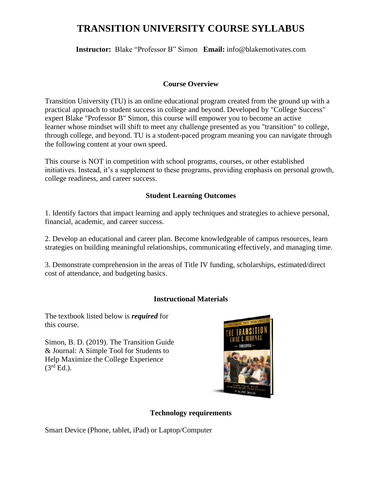# **TRANSITION UNIVERSITY COURSE SYLLABUS**

**Instructor:** Blake "Professor B" Simon **Email:** info@blakemotivates.com

#### **Course Overview**

Transition University (TU) is an online educational program created from the ground up with a practical approach to student success in college and beyond. Developed by "College Success" expert Blake "Professor B" Simon, this course will empower you to become an active learner whose mindset will shift to meet any challenge presented as you "transition" to college, through college, and beyond. TU is a student-paced program meaning you can navigate through the following content at your own speed.

This course is NOT in competition with school programs, courses, or other established initiatives. Instead, it's a supplement to these programs, providing emphasis on personal growth, college readiness, and career success.

#### **Student Learning Outcomes**

1. Identify factors that impact learning and apply techniques and strategies to achieve personal, financial, academic, and career success.

2. Develop an educational and career plan. Become knowledgeable of campus resources, learn strategies on building meaningful relationships, communicating effectively, and managing time.

3. Demonstrate comprehension in the areas of Title IV funding, scholarships, estimated/direct cost of attendance, and budgeting basics.

# **Instructional Materials**

The textbook listed below is *required* for this course.

Simon, B. D. (2019). The Transition Guide & Journal: A Simple Tool for Students to Help Maximize the College Experience  $(3<sup>rd</sup> Ed.)$ .



#### **Technology requirements**

Smart Device (Phone, tablet, iPad) or Laptop/Computer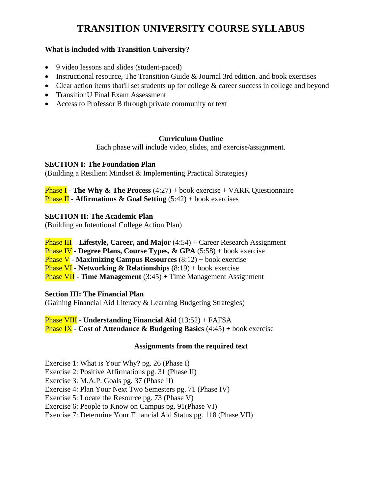# **TRANSITION UNIVERSITY COURSE SYLLABUS**

### **What is included with Transition University?**

- 9 video lessons and slides (student-paced)
- Instructional resource, The Transition Guide & Journal 3rd edition. and book exercises
- Clear action items that'll set students up for college  $\&$  career success in college and beyond
- Transition U Final Exam Assessment
- Access to Professor B through private community or text

## **Curriculum Outline**

Each phase will include video, slides, and exercise/assignment.

#### **SECTION I: The Foundation Plan**

(Building a Resilient Mindset & Implementing Practical Strategies)

Phase I - **The Why & The Process** (4:27) + book exercise + VARK Questionnaire **Phase II** - **Affirmations & Goal Setting** (5:42) + book exercises

## **SECTION II: The Academic Plan**

(Building an Intentional College Action Plan)

Phase III – **Lifestyle, Career, and Major** (4:54) + Career Research Assignment

Phase IV **- Degree Plans, Course Types, & GPA** (5:58) + book exercise

Phase V - **Maximizing Campus Resources** (8:12) + book exercise

Phase VI - **Networking & Relationships** (8:19) + book exercise

Phase VII - **Time Management** (3:45) + Time Management Assignment

#### **Section III: The Financial Plan**

(Gaining Financial Aid Literacy & Learning Budgeting Strategies)

Phase VIII - **Understanding Financial Aid** (13:52) + FAFSA Phase IX - **Cost of Attendance & Budgeting Basics** (4:45) + book exercise

# **Assignments from the required text**

Exercise 1: What is Your Why? pg. 26 (Phase I)

Exercise 2: Positive Affirmations pg. 31 (Phase II)

Exercise 3: M.A.P. Goals pg. 37 (Phase II)

Exercise 4: Plan Your Next Two Semesters pg. 71 (Phase IV)

Exercise 5: Locate the Resource pg. 73 (Phase V)

Exercise 6: People to Know on Campus pg. 91(Phase VI)

Exercise 7: Determine Your Financial Aid Status pg. 118 (Phase VII)